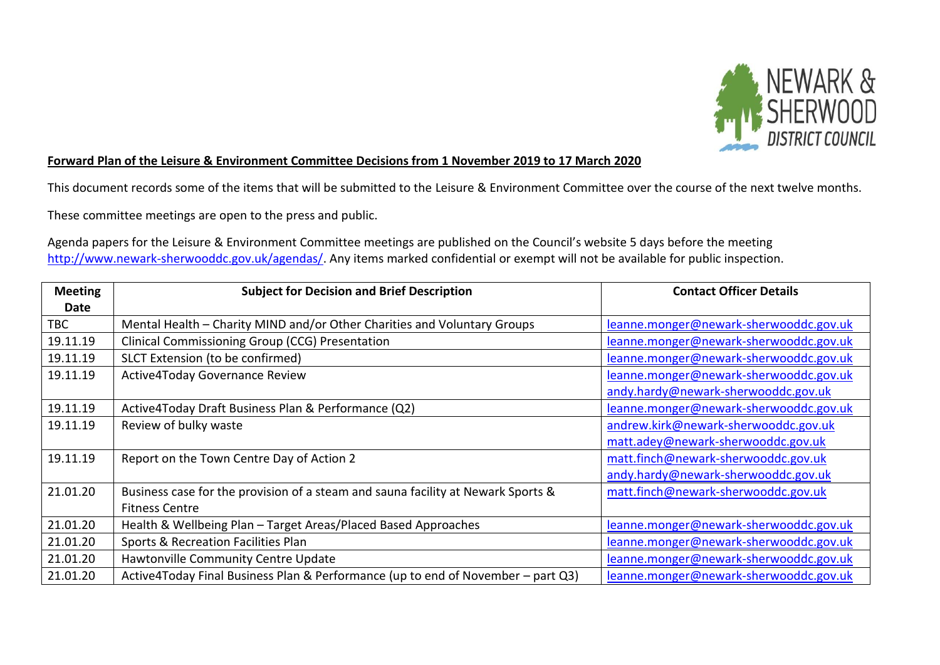

## **Forward Plan of the Leisure & Environment Committee Decisions from 1 November 2019 to 17 March 2020**

This document records some of the items that will be submitted to the Leisure & Environment Committee over the course of the next twelve months.

These committee meetings are open to the press and public.

Agenda papers for the Leisure & Environment Committee meetings are published on the Council's website 5 days before the meeting [http://www.newark-sherwooddc.gov.uk/agendas/.](http://www.newark-sherwooddc.gov.uk/agendas/) Any items marked confidential or exempt will not be available for public inspection.

| <b>Meeting</b> | <b>Subject for Decision and Brief Description</b>                                | <b>Contact Officer Details</b>         |
|----------------|----------------------------------------------------------------------------------|----------------------------------------|
| <b>Date</b>    |                                                                                  |                                        |
| <b>TBC</b>     | Mental Health - Charity MIND and/or Other Charities and Voluntary Groups         | leanne.monger@newark-sherwooddc.gov.uk |
| 19.11.19       | Clinical Commissioning Group (CCG) Presentation                                  | leanne.monger@newark-sherwooddc.gov.uk |
| 19.11.19       | SLCT Extension (to be confirmed)                                                 | leanne.monger@newark-sherwooddc.gov.uk |
| 19.11.19       | <b>Active4Today Governance Review</b>                                            | leanne.monger@newark-sherwooddc.gov.uk |
|                |                                                                                  | andy.hardy@newark-sherwooddc.gov.uk    |
| 19.11.19       | Active4Today Draft Business Plan & Performance (Q2)                              | leanne.monger@newark-sherwooddc.gov.uk |
| 19.11.19       | Review of bulky waste                                                            | andrew.kirk@newark-sherwooddc.gov.uk   |
|                |                                                                                  | matt.adey@newark-sherwooddc.gov.uk     |
| 19.11.19       | Report on the Town Centre Day of Action 2                                        | matt.finch@newark-sherwooddc.gov.uk    |
|                |                                                                                  | andy.hardy@newark-sherwooddc.gov.uk    |
| 21.01.20       | Business case for the provision of a steam and sauna facility at Newark Sports & | matt.finch@newark-sherwooddc.gov.uk    |
|                | <b>Fitness Centre</b>                                                            |                                        |
| 21.01.20       | Health & Wellbeing Plan - Target Areas/Placed Based Approaches                   | leanne.monger@newark-sherwooddc.gov.uk |
| 21.01.20       | Sports & Recreation Facilities Plan                                              | leanne.monger@newark-sherwooddc.gov.uk |
| 21.01.20       | Hawtonville Community Centre Update                                              | leanne.monger@newark-sherwooddc.gov.uk |
| 21.01.20       | Active4Today Final Business Plan & Performance (up to end of November - part Q3) | leanne.monger@newark-sherwooddc.gov.uk |